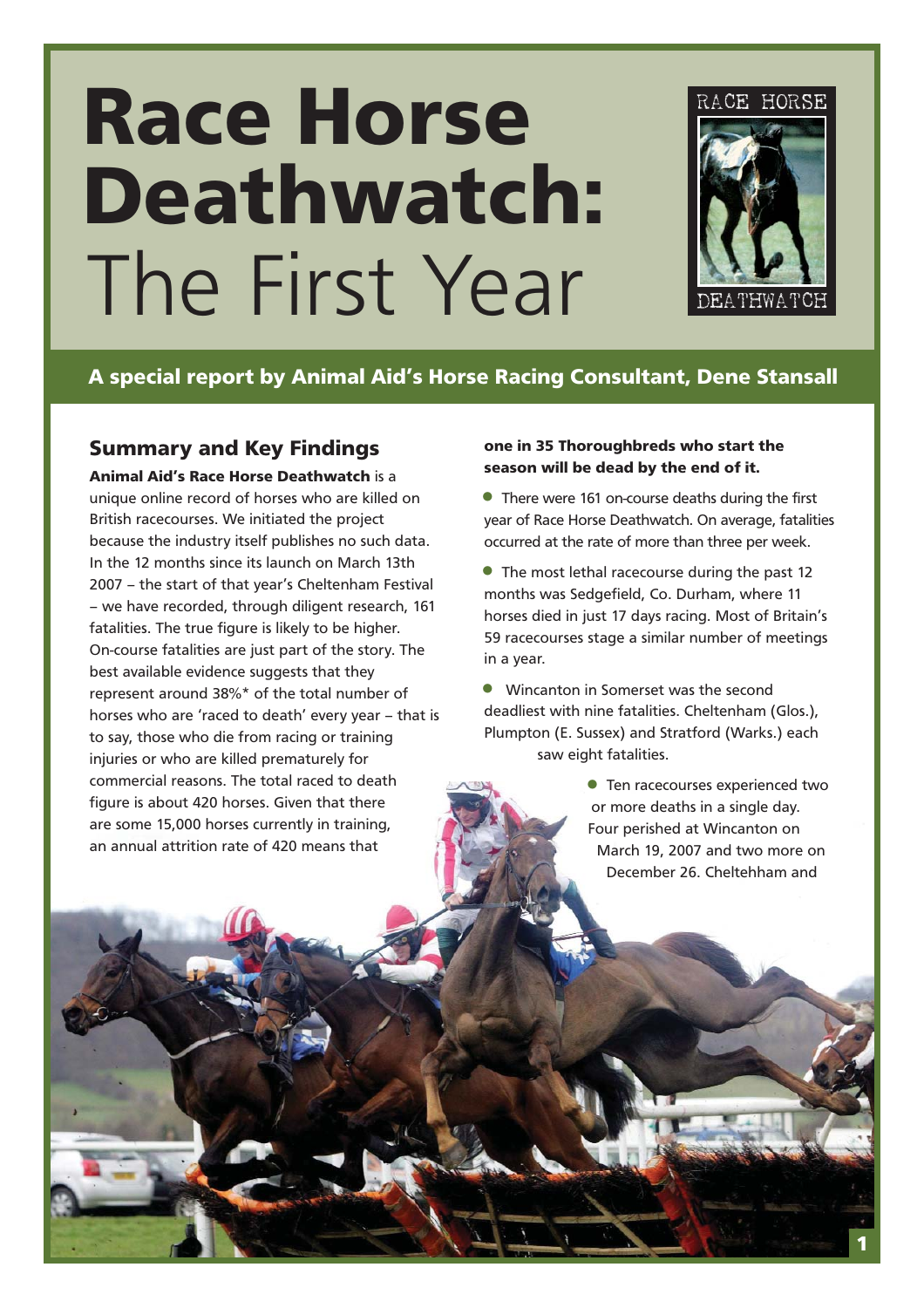# **Race Horse Deathwatch:** The First Year



# **A special report by Animal Aid's Horse Racing Consultant, Dene Stansall**

## **Summary and Key Findings**

**Animal Aid's Race Horse Deathwatch** is a unique online record of horses who are killed on British racecourses. We initiated the project because the industry itself publishes no such data. In the 12 months since its launch on March 13th 2007 – the start of that year's Cheltenham Festival – we have recorded, through diligent research, 161 fatalities. The true figure is likely to be higher. On-course fatalities are just part of the story. The best available evidence suggests that they represent around 38%\* of the total number of horses who are 'raced to death' every year – that is to say, those who die from racing or training injuries or who are killed prematurely for commercial reasons. The total raced to death figure is about 420 horses. Given that there are some 15,000 horses currently in training, an annual attrition rate of 420 means that

#### **one in 35 Thoroughbreds who start the season will be dead by the end of it.**

• There were 161 on-course deaths during the first year of Race Horse Deathwatch. On average, fatalities occurred at the rate of more than three per week.

• The most lethal racecourse during the past 12 months was Sedgefield, Co. Durham, where 11 horses died in just 17 days racing. Most of Britain's 59 racecourses stage a similar number of meetings in a year.

• Wincanton in Somerset was the second deadliest with nine fatalities. Cheltenham (Glos.), Plumpton (E. Sussex) and Stratford (Warks.) each saw eight fatalities.

> **• Ten racecourses experienced two** or more deaths in a single day. Four perished at Wincanton on March 19, 2007 and two more on December 26. Cheltehham and

> > **1**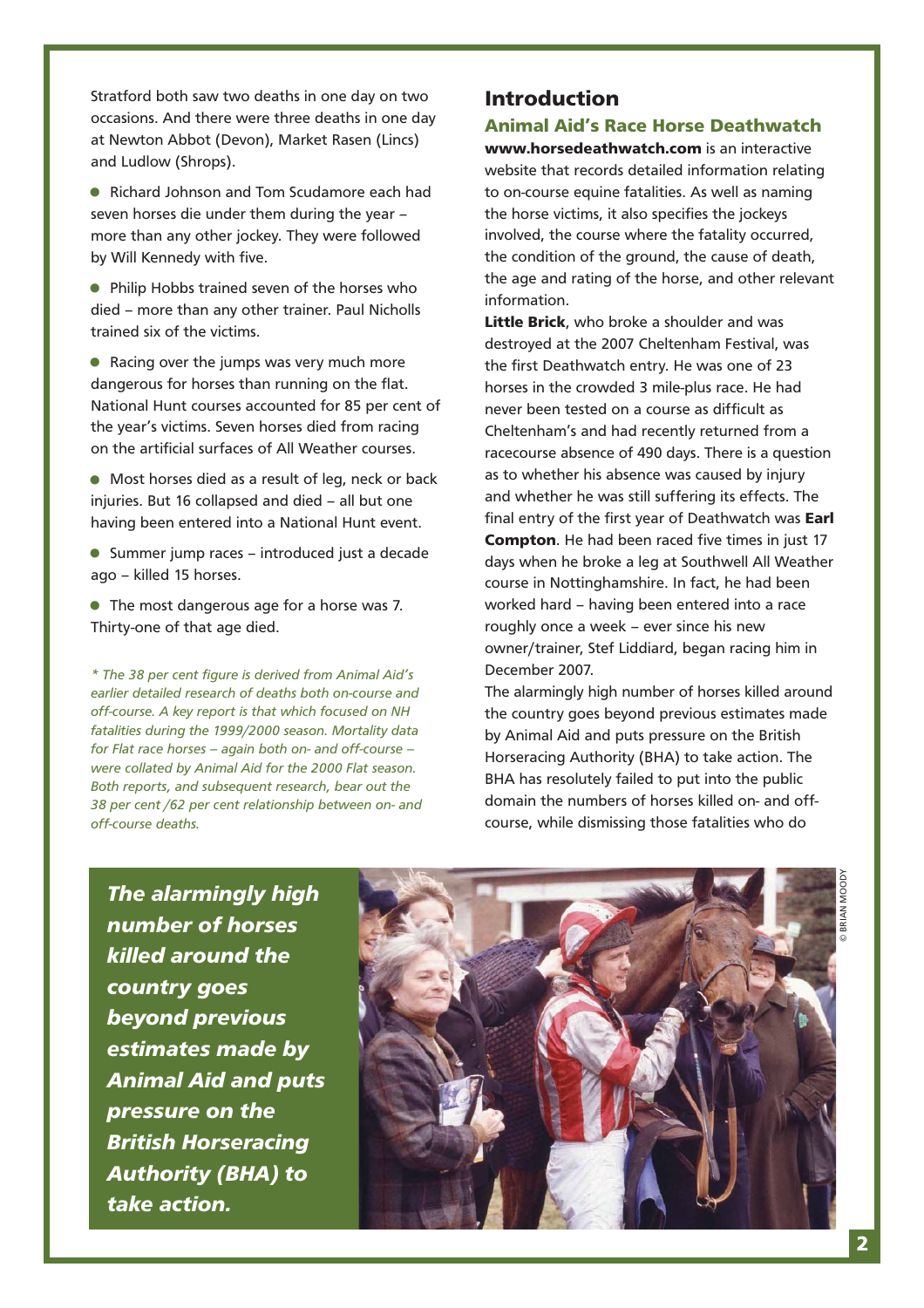Stratford both saw two deaths in one day on two occasions. And there were three deaths in one day at Newton Abbot (Devon), Market Rasen (Lincs) and Ludlow (Shrops).

• Richard Johnson and Tom Scudamore each had seven horses die under them during the year – more than any other jockey. They were followed by Will Kennedy with five.

• Philip Hobbs trained seven of the horses who died – more than any other trainer. Paul Nicholls trained six of the victims.

• Racing over the jumps was very much more dangerous for horses than running on the flat. National Hunt courses accounted for 85 per cent of the year's victims. Seven horses died from racing on the artificial surfaces of All Weather courses.

• Most horses died as a result of leg, neck or back injuries. But 16 collapsed and died – all but one having been entered into a National Hunt event.

•Summer jump races – introduced just a decade ago – killed 15 horses.

• The most dangerous age for a horse was 7. Thirty-one of that age died.

*\* The 38 per cent figure is derived from Animal Aid's earlier detailed research of deaths both on-course and off-course. A key report is that which focused on NH fatalities during the 1999/2000 season. Mortality data for Flat race horses – again both on- and off-course – were collated by Animal Aid for the 2000 Flat season. Both reports, and subsequent research, bear out the 38 per cent /62 per cent relationship between on- and off-course deaths.*

## **Introduction**

#### **Animal Aid's Race Horse Deathwatch**

**www.horsedeathwatch.com** is an interactive website that records detailed information relating to on-course equine fatalities. As well as naming the horse victims, it also specifies the jockeys involved, the course where the fatality occurred, the condition of the ground, the cause of death, the age and rating of the horse, and other relevant information.

**Little Brick**, who broke a shoulder and was destroyed at the 2007 Cheltenham Festival, was the first Deathwatch entry. He was one of 23 horses in the crowded 3 mile-plus race. He had never been tested on a course as difficult as Cheltenham's and had recently returned from a racecourse absence of 490 days. There is a question as to whether his absence was caused by injury and whether he was still suffering its effects. The final entry of the first year of Deathwatch was **Earl Compton**. He had been raced five times in just 17 days when he broke a leg at Southwell All Weather course in Nottinghamshire. In fact, he had been worked hard – having been entered into a race roughly once a week – ever since his new owner/trainer, Stef Liddiard, began racing him in December 2007.

The alarmingly high number of horses killed around the country goes beyond previous estimates made by Animal Aid and puts pressure on the British Horseracing Authority (BHA) to take action. The BHA has resolutely failed to put into the public domain the numbers of horses killed on- and offcourse, while dismissing those fatalities who do

*The alarmingly high number of horses killed around the country goes beyond previous estimates made by Animal Aid and puts pressure on the British Horseracing Authority (BHA) to take action.*

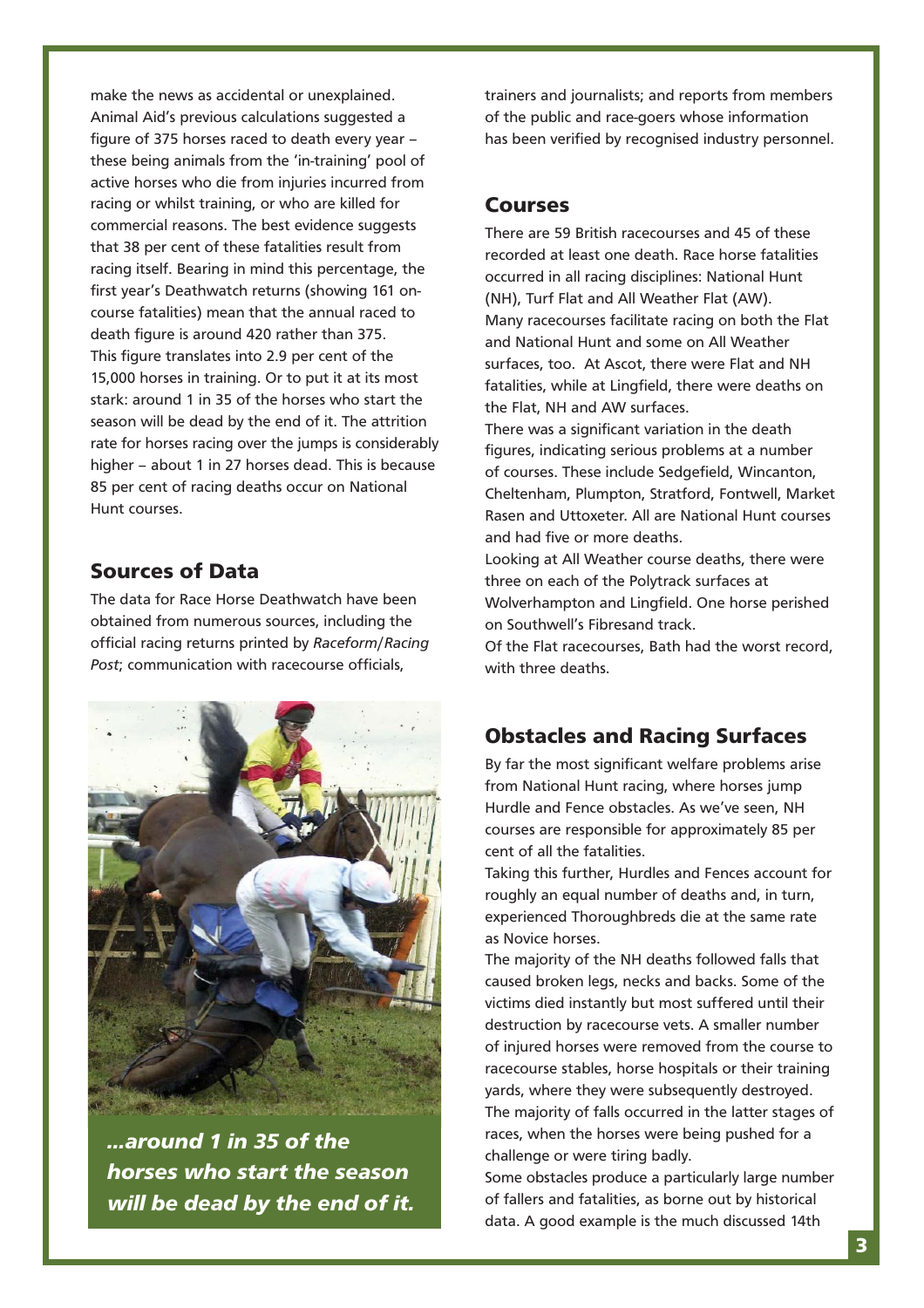make the news as accidental or unexplained. Animal Aid's previous calculations suggested a figure of 375 horses raced to death every year – these being animals from the 'in-training' pool of active horses who die from injuries incurred from racing or whilst training, or who are killed for commercial reasons. The best evidence suggests that 38 per cent of these fatalities result from racing itself. Bearing in mind this percentage, the first year's Deathwatch returns (showing 161 oncourse fatalities) mean that the annual raced to death figure is around 420 rather than 375. This figure translates into 2.9 per cent of the 15,000 horses in training. Or to put it at its most stark: around 1 in 35 of the horses who start the season will be dead by the end of it. The attrition rate for horses racing over the jumps is considerably higher – about 1 in 27 horses dead. This is because 85 per cent of racing deaths occur on National Hunt courses.

## **Sources of Data**

The data for Race Horse Deathwatch have been obtained from numerous sources, including the official racing returns printed by *Raceform*/*Racing Post*; communication with racecourse officials,



*...around 1 in 35 of the horses who start the season will be dead by the end of it.*

trainers and journalists; and reports from members of the public and race-goers whose information has been verified by recognised industry personnel.

#### **Courses**

There are 59 British racecourses and 45 of these recorded at least one death. Race horse fatalities occurred in all racing disciplines: National Hunt (NH), Turf Flat and All Weather Flat (AW). Many racecourses facilitate racing on both the Flat and National Hunt and some on All Weather surfaces, too. At Ascot, there were Flat and NH fatalities, while at Lingfield, there were deaths on the Flat, NH and AW surfaces.

There was a significant variation in the death figures, indicating serious problems at a number of courses. These include Sedgefield, Wincanton, Cheltenham, Plumpton, Stratford, Fontwell, Market Rasen and Uttoxeter. All are National Hunt courses and had five or more deaths.

Looking at All Weather course deaths, there were three on each of the Polytrack surfaces at Wolverhampton and Lingfield. One horse perished on Southwell's Fibresand track.

Of the Flat racecourses, Bath had the worst record, with three deaths.

## **Obstacles and Racing Surfaces**

By far the most significant welfare problems arise from National Hunt racing, where horses jump Hurdle and Fence obstacles. As we've seen, NH courses are responsible for approximately 85 per cent of all the fatalities.

Taking this further, Hurdles and Fences account for roughly an equal number of deaths and, in turn, experienced Thoroughbreds die at the same rate as Novice horses.

The majority of the NH deaths followed falls that caused broken legs, necks and backs. Some of the victims died instantly but most suffered until their destruction by racecourse vets. A smaller number of injured horses were removed from the course to racecourse stables, horse hospitals or their training yards, where they were subsequently destroyed. The majority of falls occurred in the latter stages of races, when the horses were being pushed for a challenge or were tiring badly.

Some obstacles produce a particularly large number of fallers and fatalities, as borne out by historical data. A good example is the much discussed 14th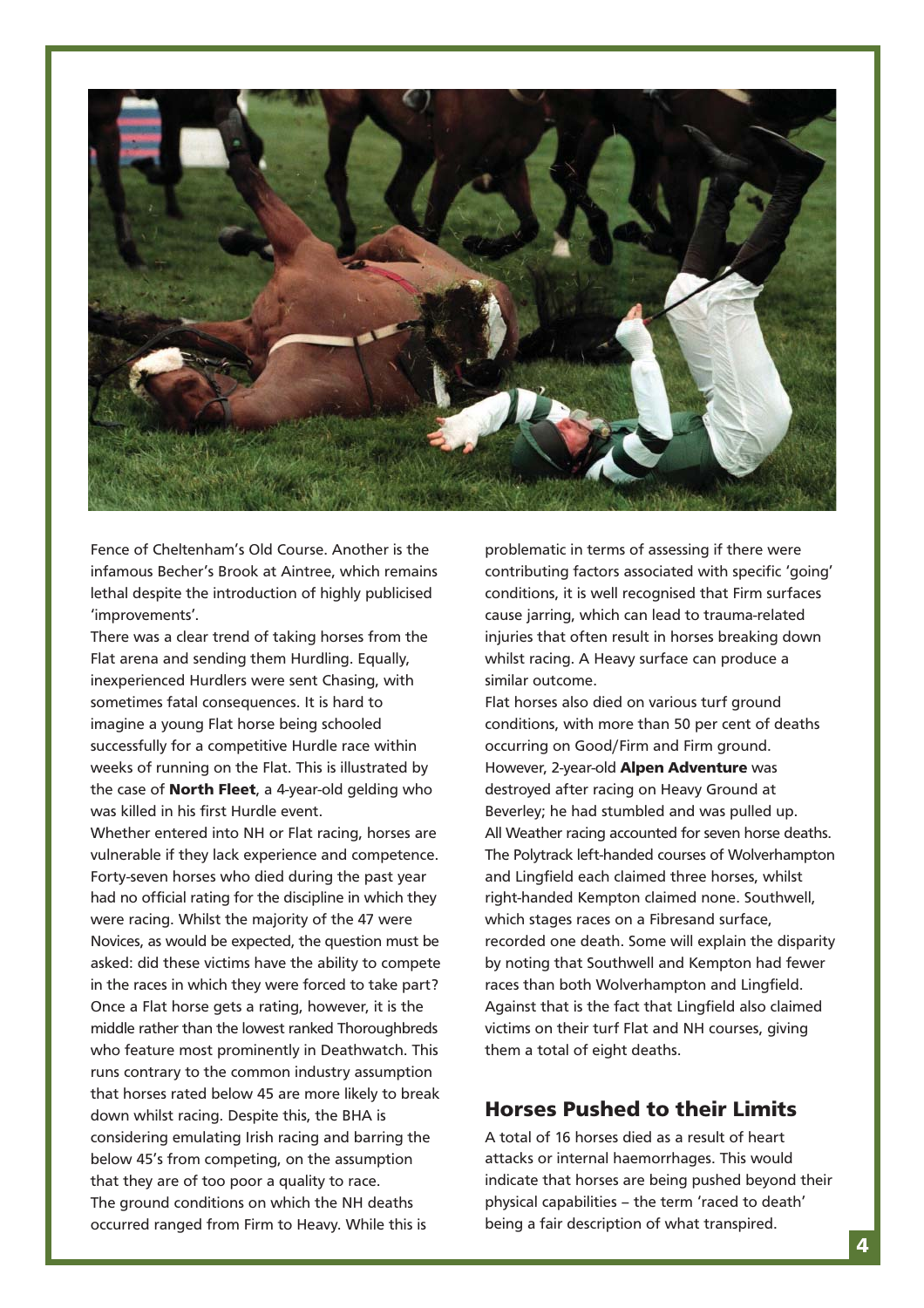

Fence of Cheltenham's Old Course. Another is the infamous Becher's Brook at Aintree, which remains lethal despite the introduction of highly publicised 'improvements'.

There was a clear trend of taking horses from the Flat arena and sending them Hurdling. Equally, inexperienced Hurdlers were sent Chasing, with sometimes fatal consequences. It is hard to imagine a young Flat horse being schooled successfully for a competitive Hurdle race within weeks of running on the Flat. This is illustrated by the case of **North Fleet**, a 4-year-old gelding who was killed in his first Hurdle event.

Whether entered into NH or Flat racing, horses are vulnerable if they lack experience and competence. Forty-seven horses who died during the past year had no official rating for the discipline in which they were racing. Whilst the majority of the 47 were Novices, as would be expected, the question must be asked: did these victims have the ability to compete in the races in which they were forced to take part? Once a Flat horse gets a rating, however, it is the middle rather than the lowest ranked Thoroughbreds who feature most prominently in Deathwatch. This runs contrary to the common industry assumption that horses rated below 45 are more likely to break down whilst racing. Despite this, the BHA is considering emulating Irish racing and barring the below 45's from competing, on the assumption that they are of too poor a quality to race. The ground conditions on which the NH deaths occurred ranged from Firm to Heavy. While this is

problematic in terms of assessing if there were contributing factors associated with specific 'going' conditions, it is well recognised that Firm surfaces cause jarring, which can lead to trauma-related injuries that often result in horses breaking down whilst racing. A Heavy surface can produce a similar outcome.

Flat horses also died on various turf ground conditions, with more than 50 per cent of deaths occurring on Good/Firm and Firm ground. However, 2-year-old **Alpen Adventure** was destroyed after racing on Heavy Ground at Beverley; he had stumbled and was pulled up. All Weather racing accounted for seven horse deaths. The Polytrack left-handed courses of Wolverhampton and Lingfield each claimed three horses, whilst right-handed Kempton claimed none. Southwell, which stages races on a Fibresand surface, recorded one death. Some will explain the disparity by noting that Southwell and Kempton had fewer races than both Wolverhampton and Lingfield. Against that is the fact that Lingfield also claimed victims on their turf Flat and NH courses, giving them a total of eight deaths.

## **Horses Pushed to their Limits**

A total of 16 horses died as a result of heart attacks or internal haemorrhages. This would indicate that horses are being pushed beyond their physical capabilities – the term 'raced to death' being a fair description of what transpired.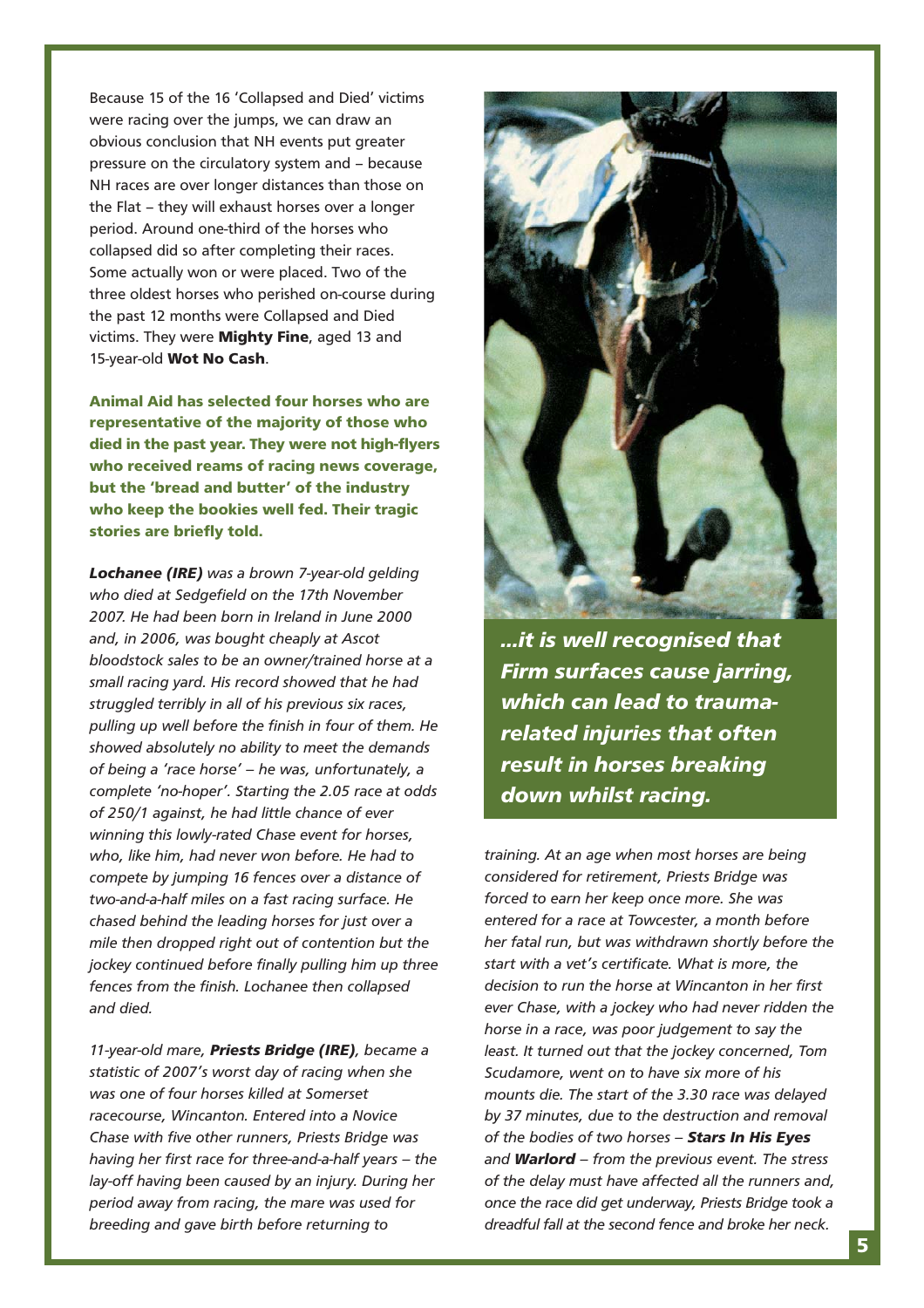Because 15 of the 16 'Collapsed and Died' victims were racing over the jumps, we can draw an obvious conclusion that NH events put greater pressure on the circulatory system and – because NH races are over longer distances than those on the Flat – they will exhaust horses over a longer period. Around one-third of the horses who collapsed did so after completing their races. Some actually won or were placed. Two of the three oldest horses who perished on-course during the past 12 months were Collapsed and Died victims. They were **Mighty Fine**, aged 13 and 15-year-old **Wot No Cash**.

**Animal Aid has selected four horses who are representative of the majority of those who died in the past year. They were not high-flyers who received reams of racing news coverage, but the 'bread and butter' of the industry who keep the bookies well fed. Their tragic stories are briefly told.** 

*Lochanee (IRE) was a brown 7-year-old gelding who died at Sedgefield on the 17th November 2007. He had been born in Ireland in June 2000 and, in 2006, was bought cheaply at Ascot bloodstock sales to be an owner/trained horse at a small racing yard. His record showed that he had struggled terribly in all of his previous six races, pulling up well before the finish in four of them. He showed absolutely no ability to meet the demands of being a 'race horse' – he was, unfortunately, a complete 'no-hoper'. Starting the 2.05 race at odds of 250/1 against, he had little chance of ever winning this lowly-rated Chase event for horses, who, like him, had never won before. He had to compete by jumping 16 fences over a distance of two-and-a-half miles on a fast racing surface. He chased behind the leading horses for just over a mile then dropped right out of contention but the jockey continued before finally pulling him up three fences from the finish. Lochanee then collapsed and died.* 

*11-year-old mare, Priests Bridge (IRE), became a statistic of 2007's worst day of racing when she was one of four horses killed at Somerset racecourse, Wincanton. Entered into a Novice Chase with five other runners, Priests Bridge was having her first race for three-and-a-half years – the lay-off having been caused by an injury. During her period away from racing, the mare was used for breeding and gave birth before returning to*



*...it is well recognised that Firm surfaces cause jarring, which can lead to traumarelated injuries that often result in horses breaking down whilst racing.*

*training. At an age when most horses are being considered for retirement, Priests Bridge was forced to earn her keep once more. She was entered for a race at Towcester, a month before her fatal run, but was withdrawn shortly before the start with a vet's certificate. What is more, the decision to run the horse at Wincanton in her first ever Chase, with a jockey who had never ridden the horse in a race, was poor judgement to say the least. It turned out that the jockey concerned, Tom Scudamore, went on to have six more of his mounts die. The start of the 3.30 race was delayed by 37 minutes, due to the destruction and removal of the bodies of two horses – Stars In His Eyes and Warlord – from the previous event. The stress of the delay must have affected all the runners and, once the race did get underway, Priests Bridge took a dreadful fall at the second fence and broke her neck.*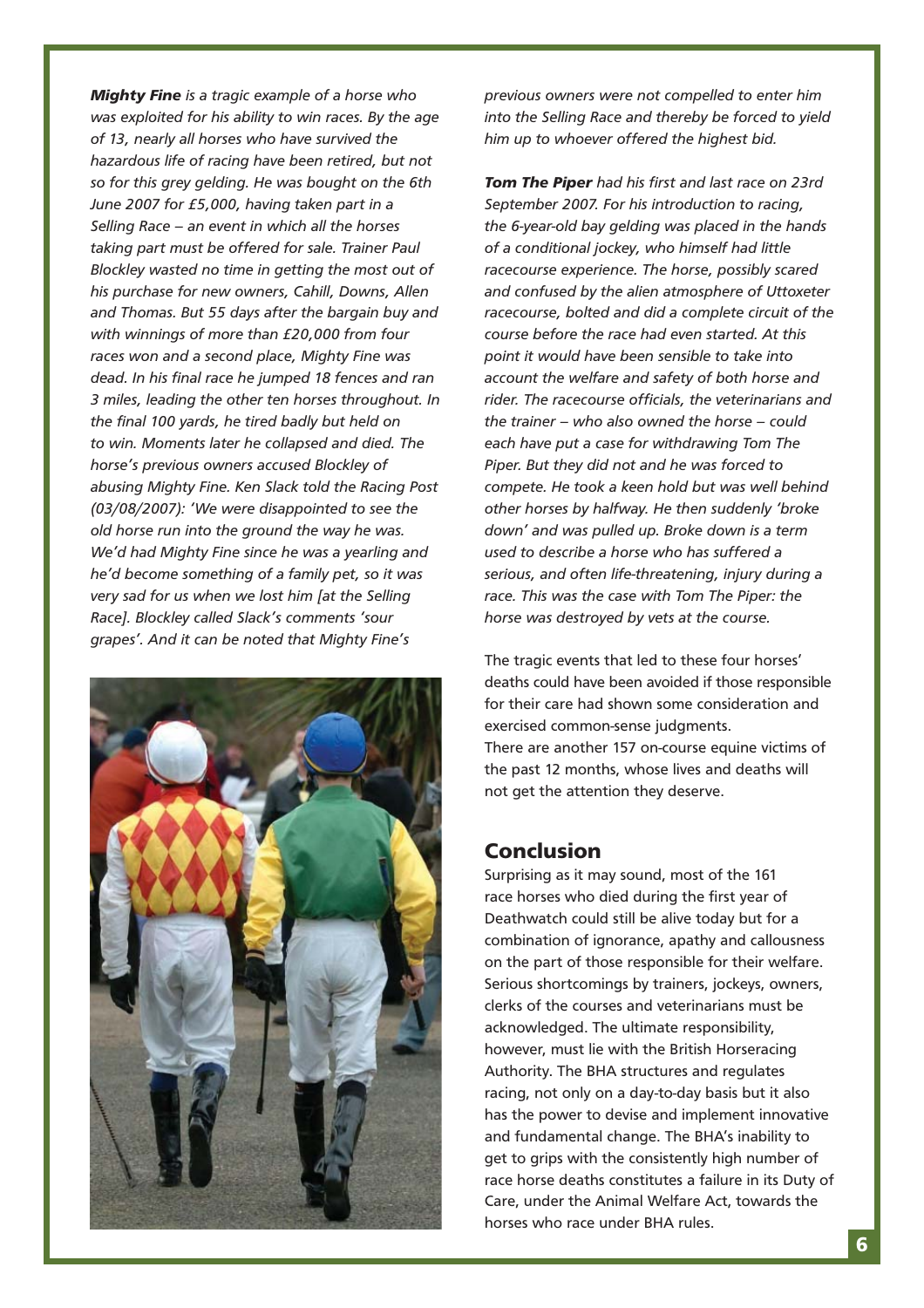*Mighty Fine is a tragic example of a horse who was exploited for his ability to win races. By the age of 13, nearly all horses who have survived the hazardous life of racing have been retired, but not so for this grey gelding. He was bought on the 6th June 2007 for £5,000, having taken part in a Selling Race – an event in which all the horses taking part must be offered for sale. Trainer Paul Blockley wasted no time in getting the most out of his purchase for new owners, Cahill, Downs, Allen and Thomas. But 55 days after the bargain buy and with winnings of more than £20,000 from four races won and a second place, Mighty Fine was dead. In his final race he jumped 18 fences and ran 3 miles, leading the other ten horses throughout. In the final 100 yards, he tired badly but held on to win. Moments later he collapsed and died. The horse's previous owners accused Blockley of abusing Mighty Fine. Ken Slack told the Racing Post (03/08/2007): 'We were disappointed to see the old horse run into the ground the way he was. We'd had Mighty Fine since he was a yearling and he'd become something of a family pet, so it was very sad for us when we lost him [at the Selling Race]. Blockley called Slack's comments 'sour grapes'. And it can be noted that Mighty Fine's*



*previous owners were not compelled to enter him into the Selling Race and thereby be forced to yield him up to whoever offered the highest bid.*

*Tom The Piper had his first and last race on 23rd September 2007. For his introduction to racing, the 6-year-old bay gelding was placed in the hands of a conditional jockey, who himself had little racecourse experience. The horse, possibly scared and confused by the alien atmosphere of Uttoxeter racecourse, bolted and did a complete circuit of the course before the race had even started. At this point it would have been sensible to take into account the welfare and safety of both horse and rider. The racecourse officials, the veterinarians and the trainer – who also owned the horse – could each have put a case for withdrawing Tom The Piper. But they did not and he was forced to compete. He took a keen hold but was well behind other horses by halfway. He then suddenly 'broke down' and was pulled up. Broke down is a term used to describe a horse who has suffered a serious, and often life-threatening, injury during a race. This was the case with Tom The Piper: the horse was destroyed by vets at the course.* 

The tragic events that led to these four horses' deaths could have been avoided if those responsible for their care had shown some consideration and exercised common-sense judgments. There are another 157 on-course equine victims of the past 12 months, whose lives and deaths will not get the attention they deserve.

## **Conclusion**

Surprising as it may sound, most of the 161 race horses who died during the first year of Deathwatch could still be alive today but for a combination of ignorance, apathy and callousness on the part of those responsible for their welfare. Serious shortcomings by trainers, jockeys, owners, clerks of the courses and veterinarians must be acknowledged. The ultimate responsibility, however, must lie with the British Horseracing Authority. The BHA structures and regulates racing, not only on a day-to-day basis but it also has the power to devise and implement innovative and fundamental change. The BHA's inability to get to grips with the consistently high number of race horse deaths constitutes a failure in its Duty of Care, under the Animal Welfare Act, towards the horses who race under BHA rules.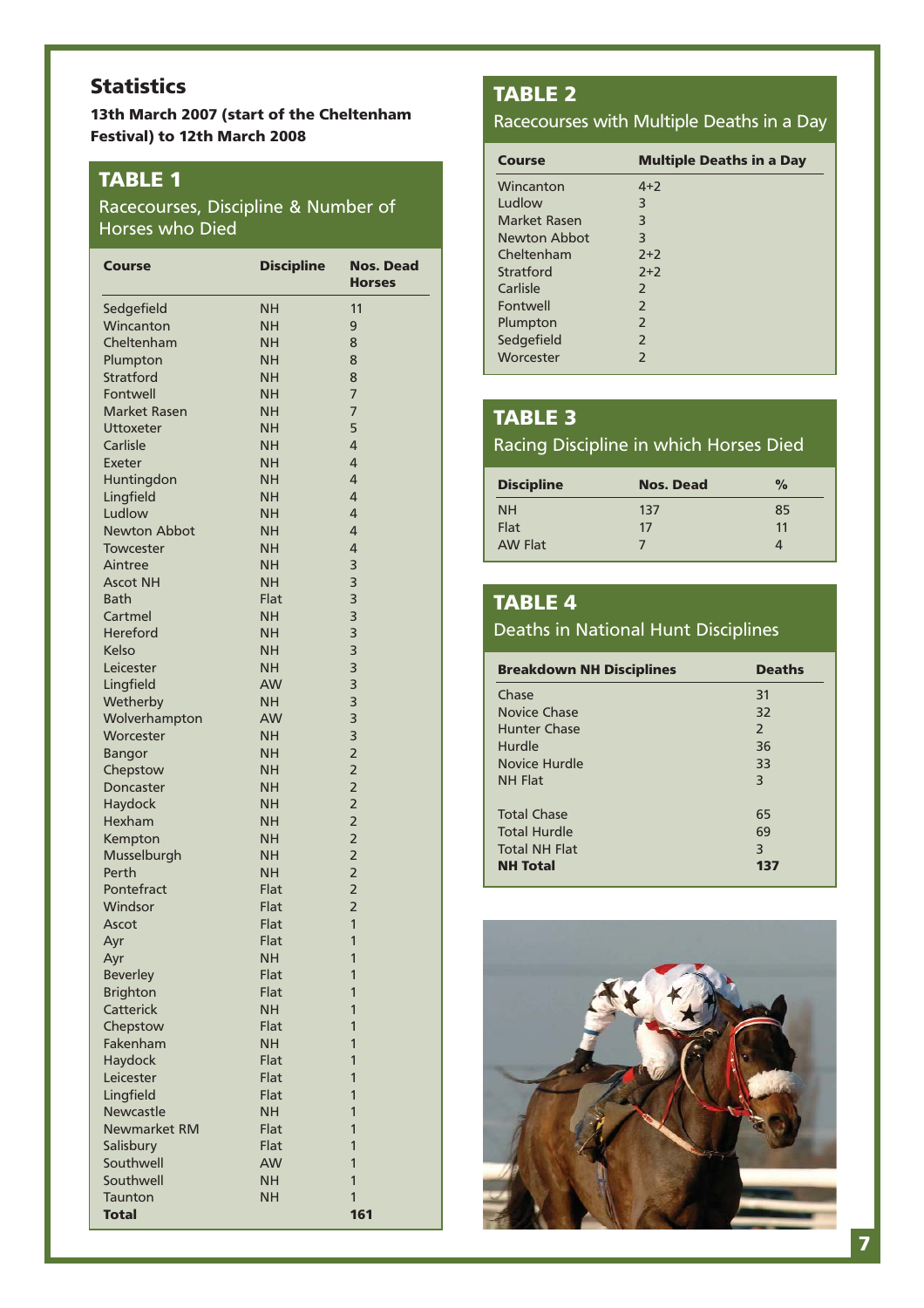# **Statistics**

**13th March 2007 (start of the Cheltenham Festival) to 12th March 2008**

## **TABLE 1**

## Racecourses, Discipline & Number of Horses who Died

| Course              | <b>Discipline</b> | Nos. Dead<br><b>Horses</b> |
|---------------------|-------------------|----------------------------|
| Sedgefield          | <b>NH</b>         | 11                         |
| Wincanton           | <b>NH</b>         | 9                          |
| Cheltenham          | <b>NH</b>         | 8                          |
| Plumpton            | <b>NH</b>         | 8                          |
| Stratford           | <b>NH</b>         | 8                          |
| Fontwell            | <b>NH</b>         | $\overline{7}$             |
| <b>Market Rasen</b> | <b>NH</b>         | 7                          |
| Uttoxeter           | <b>NH</b>         | 5                          |
| Carlisle            | <b>NH</b>         | 4                          |
| Exeter              | <b>NH</b>         | 4                          |
| Huntingdon          | <b>NH</b>         | 4                          |
| Lingfield           | <b>NH</b>         | 4                          |
| Ludlow              | <b>NH</b>         | 4                          |
| <b>Newton Abbot</b> | <b>NH</b>         | 4                          |
| <b>Towcester</b>    | <b>NH</b>         | 4                          |
| Aintree             | <b>NH</b>         | 3                          |
| <b>Ascot NH</b>     | <b>NH</b>         | 3                          |
| Bath                | Flat              | 3                          |
| Cartmel             | <b>NH</b>         | 3                          |
| Hereford            | <b>NH</b>         | 3                          |
| Kelso               | <b>NH</b>         | 3                          |
| Leicester           | <b>NH</b>         | 3                          |
| Lingfield           | <b>AW</b>         | 3                          |
| Wetherby            | <b>NH</b>         | 3                          |
| Wolverhampton       | <b>AW</b>         | 3                          |
| Worcester           | <b>NH</b>         | 3                          |
| <b>Bangor</b>       | <b>NH</b>         | $\overline{2}$             |
| Chepstow            | <b>NH</b>         | $\overline{2}$             |
| Doncaster           | <b>NH</b>         | $\overline{2}$             |
| Haydock             | <b>NH</b>         | $\overline{2}$             |
| Hexham              | <b>NH</b>         | $\overline{2}$             |
| Kempton             | <b>NH</b>         | $\overline{2}$             |
| Musselburgh         | <b>NH</b>         | $\overline{2}$             |
| Perth               | <b>NH</b>         | $\overline{2}$             |
| Pontefract          | Flat              | $\overline{2}$             |
| Windsor             | Flat              | $\overline{2}$             |
| Ascot               | Flat              | $\overline{1}$             |
| Ayr                 | Flat              | 1                          |
| Ayr                 | NΗ                | 1                          |
| <b>Beverley</b>     | Flat              | 1                          |
| <b>Brighton</b>     | Flat              | 1                          |
| Catterick           | <b>NH</b>         | 1                          |
| Chepstow            | Flat              | 1                          |
| Fakenham            | <b>NH</b>         | 1                          |
| Haydock             | Flat              | 1                          |
| Leicester           | Flat              | 1                          |
| Lingfield           | Flat              | 1                          |
| Newcastle           | <b>NH</b>         | 1                          |
| <b>Newmarket RM</b> | Flat              | 1                          |
| Salisbury           | Flat              | 1                          |
| Southwell           | AW                | 1                          |
| Southwell           | <b>NH</b>         | 1                          |
| <b>Taunton</b>      | <b>NH</b>         | $\mathbf{1}$               |
| <b>Total</b>        |                   | 161                        |

# **TABLE 2**

#### Racecourses with Multiple Deaths in a Day

| <b>Course</b>       | <b>Multiple Deaths in a Day</b> |
|---------------------|---------------------------------|
| Wincanton           | $4 + 2$                         |
| Ludlow              | 3                               |
| Market Rasen        | 3                               |
| <b>Newton Abbot</b> | 3                               |
| Cheltenham          | $2+2$                           |
| Stratford           | $2+2$                           |
| Carlisle            | $\mathcal{L}$                   |
| Fontwell            | $\mathcal{P}$                   |
| Plumpton            | 2                               |
| Sedgefield          | $\mathcal{P}$                   |
| Worcester           | $\mathcal{P}$                   |

# **TABLE 3**

## Racing Discipline in which Horses Died

| <b>Discipline</b> | <b>Nos. Dead</b> | $\frac{0}{\alpha}$ |
|-------------------|------------------|--------------------|
| <b>NH</b>         | 137              | 85                 |
| Flat              | 17               | 11                 |
| <b>AW Flat</b>    |                  |                    |

## **TABLE 4**

## Deaths in National Hunt Disciplines

| <b>Breakdown NH Disciplines</b> | <b>Deaths</b>  |
|---------------------------------|----------------|
| Chase                           | 31             |
| Novice Chase                    | 32             |
| <b>Hunter Chase</b>             | $\mathcal{P}$  |
| Hurdle                          | 36             |
| Novice Hurdle                   | 33             |
| <b>NH Flat</b>                  | 3              |
| <b>Total Chase</b>              | 65             |
| <b>Total Hurdle</b>             | 69             |
| <b>Total NH Flat</b>            | $\overline{3}$ |
| <b>NH Total</b>                 | 137            |